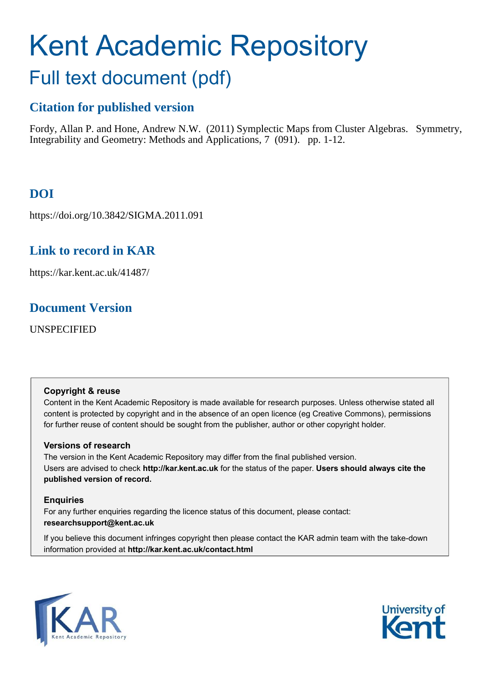# Kent Academic Repository

## Full text document (pdf)

## **Citation for published version**

Fordy, Allan P. and Hone, Andrew N.W. (2011) Symplectic Maps from Cluster Algebras. Symmetry, Integrability and Geometry: Methods and Applications, 7 (091). pp. 1-12.

## **DOI**

https://doi.org/10.3842/SIGMA.2011.091

## **Link to record in KAR**

https://kar.kent.ac.uk/41487/

## **Document Version**

UNSPECIFIED

## **Copyright & reuse**

Content in the Kent Academic Repository is made available for research purposes. Unless otherwise stated all content is protected by copyright and in the absence of an open licence (eg Creative Commons), permissions for further reuse of content should be sought from the publisher, author or other copyright holder.

## **Versions of research**

The version in the Kent Academic Repository may differ from the final published version. Users are advised to check **http://kar.kent.ac.uk** for the status of the paper. **Users should always cite the published version of record.**

## **Enquiries**

For any further enquiries regarding the licence status of this document, please contact: **researchsupport@kent.ac.uk**

If you believe this document infringes copyright then please contact the KAR admin team with the take-down information provided at **http://kar.kent.ac.uk/contact.html**

<span id="page-0-0"></span>

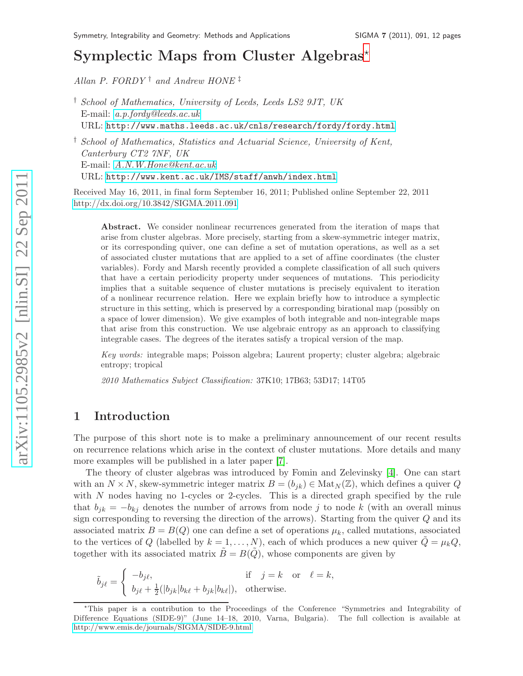## Symplectic Maps from Cluster Algebras<sup>\*</sup>

Allan P. FORDY<sup>†</sup> and Andrew HONE<sup>†</sup>

† School of Mathematics, Statistics and Actuarial Science, University of Kent, Canterbury CT2 7NF, UK E-mail: [A.N.W.Hone@kent.ac.uk](mailto:A.N.W.Hone@kent.ac.uk) URL: <http://www.kent.ac.uk/IMS/staff/anwh/index.html>

Received May 16, 2011, in final form September 16, 2011; Published online September 22, 2011 <http://dx.doi.org/10.3842/SIGMA.2011.091>

<span id="page-1-1"></span>Abstract. We consider nonlinear recurrences generated from the iteration of maps that arise from cluster algebras. More precisely, starting from a skew-symmetric integer matrix, or its corresponding quiver, one can define a set of mutation operations, as well as a set of associated cluster mutations that are applied to a set of affine coordinates (the cluster variables). Fordy and Marsh recently provided a complete classification of all such quivers that have a certain periodicity property under sequences of mutations. This periodicity implies that a suitable sequence of cluster mutations is precisely equivalent to iteration of a nonlinear recurrence relation. Here we explain briefly how to introduce a symplectic structure in this setting, which is preserved by a corresponding birational map (possibly on a space of lower dimension). We give examples of both integrable and non-integrable maps that arise from this construction. We use algebraic entropy as an approach to classifying integrable cases. The degrees of the iterates satisfy a tropical version of the map.

Key words: integrable maps; Poisson algebra; Laurent property; cluster algebra; algebraic entropy; tropical

<span id="page-1-0"></span>2010 Mathematics Subject Classification: 37K10; 17B63; 53D17; 14T05

#### 1 Introduction

The purpose of this short note is to make a preliminary announcement of our recent results on recurrence relations which arise in the context of cluster mutations. More details and many more examples will be published in a later paper [\[7\]](#page-11-0).

The theory of cluster algebras was introduced by Fomin and Zelevinsky [\[4\]](#page-11-1). One can start with an  $N \times N$ , skew-symmetric integer matrix  $B = (b_{jk}) \in Mat_N(\mathbb{Z})$ , which defines a quiver Q with N nodes having no 1-cycles or 2-cycles. This is a directed graph specified by the rule that  $b_{jk} = -b_{kj}$  denotes the number of arrows from node j to node k (with an overall minus sign corresponding to reversing the direction of the arrows). Starting from the quiver  $Q$  and its associated matrix  $B = B(Q)$  one can define a set of operations  $\mu_k$ , called mutations, associated to the vertices of Q (labelled by  $k = 1, ..., N$ ), each of which produces a new quiver  $\tilde{Q} = \mu_k Q$ , together with its associated matrix  $\tilde{B} = B(\tilde{Q})$ , whose components are given by

<span id="page-1-2"></span>
$$
\tilde{b}_{j\ell} = \begin{cases}\n-b_{j\ell}, & \text{if } j = k \text{ or } \ell = k, \\
b_{j\ell} + \frac{1}{2}(|b_{jk}|b_{k\ell} + b_{jk}|b_{k\ell}|), & \text{otherwise.} \n\end{cases}
$$

<sup>†</sup> School of Mathematics, University of Leeds, Leeds LS2 9JT, UK E-mail: [a.p.fordy@leeds.ac.uk](mailto:a.p.fordy@leeds.ac.uk) URL: <http://www.maths.leeds.ac.uk/cnls/research/fordy/fordy.html>

<sup>⋆</sup>This paper is a contribution to the Proceedings of the Conference "Symmetries and Integrability of Difference Equations (SIDE-9)" (June 14–18, 2010, Varna, Bulgaria). The full collection is available at <http://www.emis.de/journals/SIGMA/SIDE-9.html>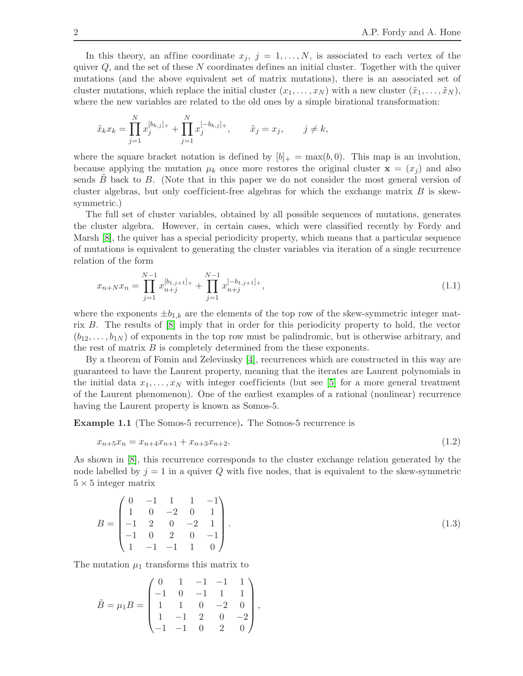In this theory, an affine coordinate  $x_j$ ,  $j = 1, \ldots, N$ , is associated to each vertex of the quiver  $Q$ , and the set of these N coordinates defines an initial cluster. Together with the quiver mutations (and the above equivalent set of matrix mutations), there is an associated set of cluster mutations, which replace the initial cluster  $(x_1, \ldots, x_N)$  with a new cluster  $(\tilde{x}_1, \ldots, \tilde{x}_N)$ , where the new variables are related to the old ones by a simple birational transformation:

$$
\tilde{x}_k x_k = \prod_{j=1}^N x_j^{[b_{k,j}]_+} + \prod_{j=1}^N x_j^{[-b_{k,j}]_+}, \qquad \tilde{x}_j = x_j, \qquad j \neq k,
$$

where the square bracket notation is defined by  $|b|_+ = \max(b, 0)$ . This map is an involution, because applying the mutation  $\mu_k$  once more restores the original cluster  $\mathbf{x} = (x_i)$  and also sends  $B$  back to  $B$ . (Note that in this paper we do not consider the most general version of cluster algebras, but only coefficient-free algebras for which the exchange matrix  $B$  is skewsymmetric.)

The full set of cluster variables, obtained by all possible sequences of mutations, generates the cluster algebra. However, in certain cases, which were classified recently by Fordy and Marsh [\[8\]](#page-11-2), the quiver has a special periodicity property, which means that a particular sequence of mutations is equivalent to generating the cluster variables via iteration of a single recurrence relation of the form

$$
x_{n+N}x_n = \prod_{j=1}^{N-1} x_{n+j}^{[b_{1,j+1}]} + \prod_{j=1}^{N-1} x_{n+j}^{[-b_{1,j+1}]} +,
$$
\n(1.1)

where the exponents  $\pm b_{1,k}$  are the elements of the top row of the skew-symmetric integer matrix B. The results of [\[8\]](#page-11-2) imply that in order for this periodicity property to hold, the vector  $(b_{12}, \ldots, b_{1N})$  of exponents in the top row must be palindromic, but is otherwise arbitrary, and the rest of matrix  $B$  is completely determined from the these exponents.

By a theorem of Fomin and Zelevinsky [\[4\]](#page-11-1), recurrences which are constructed in this way are guaranteed to have the Laurent property, meaning that the iterates are Laurent polynomials in the initial data  $x_1, \ldots, x_N$  with integer coefficients (but see [\[5\]](#page-11-3) for a more general treatment of the Laurent phenomenon). One of the earliest examples of a rational (nonlinear) recurrence having the Laurent property is known as Somos-5.

Example 1.1 (The Somos-5 recurrence). The Somos-5 recurrence is

$$
x_{n+5}x_n = x_{n+4}x_{n+1} + x_{n+3}x_{n+2}.\tag{1.2}
$$

As shown in [\[8\]](#page-11-2), this recurrence corresponds to the cluster exchange relation generated by the node labelled by  $j = 1$  in a quiver Q with five nodes, that is equivalent to the skew-symmetric  $5 \times 5$  integer matrix

$$
B = \begin{pmatrix} 0 & -1 & 1 & 1 & -1 \\ 1 & 0 & -2 & 0 & 1 \\ -1 & 2 & 0 & -2 & 1 \\ -1 & 0 & 2 & 0 & -1 \\ 1 & -1 & -1 & 1 & 0 \end{pmatrix}.
$$
 (1.3)

The mutation  $\mu_1$  transforms this matrix to

$$
\tilde{B} = \mu_1 B = \begin{pmatrix} 0 & 1 & -1 & -1 & 1 \\ -1 & 0 & -1 & 1 & 1 \\ 1 & 1 & 0 & -2 & 0 \\ 1 & -1 & 2 & 0 & -2 \\ -1 & -1 & 0 & 2 & 0 \end{pmatrix},
$$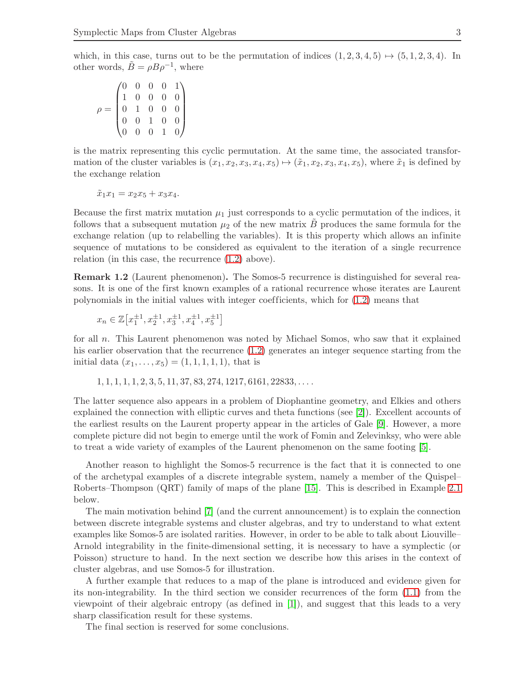which, in this case, turns out to be the permutation of indices  $(1, 2, 3, 4, 5) \rightarrow (5, 1, 2, 3, 4)$ . In other words,  $\tilde{B} = \rho B \rho^{-1}$ , where

<span id="page-3-1"></span> $\rho =$  $\sqrt{ }$  $\overline{\phantom{a}}$ 0 0 0 0 1 1 0 0 0 0 0 1 0 0 0 0 0 1 0 0 0 0 0 1 0  $\setminus$  $\begin{array}{c} \hline \end{array}$ 

is the matrix representing this cyclic permutation. At the same time, the associated transformation of the cluster variables is  $(x_1, x_2, x_3, x_4, x_5) \mapsto (\tilde{x}_1, x_2, x_3, x_4, x_5)$ , where  $\tilde{x}_1$  is defined by the exchange relation

$$
\tilde{x}_1 x_1 = x_2 x_5 + x_3 x_4.
$$

Because the first matrix mutation  $\mu_1$  just corresponds to a cyclic permutation of the indices, it follows that a subsequent mutation  $\mu_2$  of the new matrix B produces the same formula for the exchange relation (up to relabelling the variables). It is this property which allows an infinite sequence of mutations to be considered as equivalent to the iteration of a single recurrence relation (in this case, the recurrence [\(1.2\)](#page-1-0) above).

Remark 1.2 (Laurent phenomenon). The Somos-5 recurrence is distinguished for several reasons. It is one of the first known examples of a rational recurrence whose iterates are Laurent polynomials in the initial values with integer coefficients, which for  $(1.2)$  means that

<span id="page-3-4"></span>
$$
x_n \in \mathbb{Z}\left[x_1^{\pm 1}, x_2^{\pm 1}, x_3^{\pm 1}, x_4^{\pm 1}, x_5^{\pm 1}\right]
$$

for all n. This Laurent phenomenon was noted by Michael Somos, who saw that it explained his earlier observation that the recurrence  $(1.2)$  generates an integer sequence starting from the initial data  $(x_1, \ldots, x_5) = (1, 1, 1, 1, 1)$ , that is

<span id="page-3-2"></span>
$$
1, 1, 1, 1, 1, 2, 3, 5, 11, 37, 83, 274, 1217, 6161, 22833, \ldots
$$

<span id="page-3-0"></span>The latter sequence also appears in a problem of Diophantine geometry, and Elkies and others explained the connection with elliptic curves and theta functions (see [\[2\]](#page-10-0)). Excellent accounts of the earliest results on the Laurent property appear in the articles of Gale [\[9\]](#page-11-4). However, a more complete picture did not begin to emerge until the work of Fomin and Zelevinksy, who were able to treat a wide variety of examples of the Laurent phenomenon on the same footing [\[5\]](#page-11-3).

Another reason to highlight the Somos-5 recurrence is the fact that it is connected to one of the archetypal examples of a discrete integrable system, namely a member of the Quispel– Roberts–Thompson (QRT) family of maps of the plane [\[15\]](#page-11-5). This is described in Example [2.1](#page-3-0) below.

<span id="page-3-3"></span>The main motivation behind [\[7\]](#page-11-0) (and the current announcement) is to explain the connection between discrete integrable systems and cluster algebras, and try to understand to what extent examples like Somos-5 are isolated rarities. However, in order to be able to talk about Liouville– Arnold integrability in the finite-dimensional setting, it is necessary to have a symplectic (or Poisson) structure to hand. In the next section we describe how this arises in the context of cluster algebras, and use Somos-5 for illustration.

A further example that reduces to a map of the plane is introduced and evidence given for its non-integrability. In the third section we consider recurrences of the form [\(1.1\)](#page-1-1) from the viewpoint of their algebraic entropy (as defined in [\[1\]](#page-10-1)), and suggest that this leads to a very sharp classification result for these systems.

The final section is reserved for some conclusions.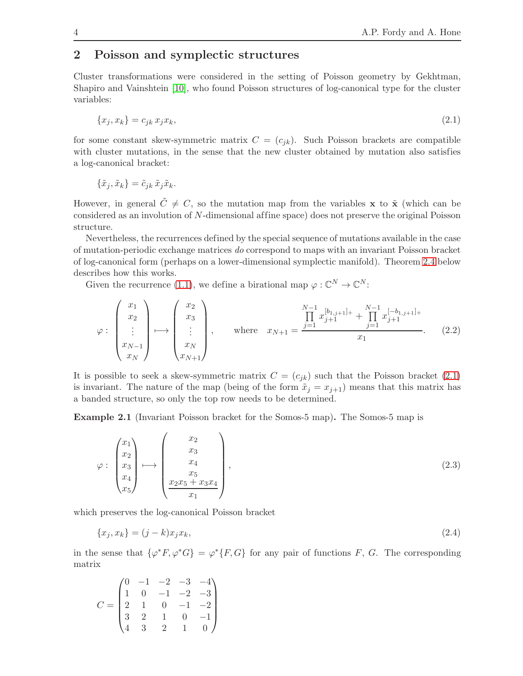### 2 Poisson and symplectic structures

Cluster transformations were considered in the setting of Poisson geometry by Gekhtman, Shapiro and Vainshtein [\[10\]](#page-11-6), who found Poisson structures of log-canonical type for the cluster variables:

$$
\{x_j, x_k\} = c_{jk} x_j x_k,\tag{2.1}
$$

for some constant skew-symmetric matrix  $C = (c_{jk})$ . Such Poisson brackets are compatible with cluster mutations, in the sense that the new cluster obtained by mutation also satisfies a log-canonical bracket:

$$
\{\tilde{x}_j, \tilde{x}_k\} = \tilde{c}_{jk} \tilde{x}_j \tilde{x}_k.
$$

However, in general  $\tilde{C} \neq C$ , so the mutation map from the variables x to  $\tilde{\mathbf{x}}$  (which can be considered as an involution of N-dimensional affine space) does not preserve the original Poisson structure.

Nevertheless, the recurrences defined by the special sequence of mutations available in the case of mutation-periodic exchange matrices do correspond to maps with an invariant Poisson bracket of log-canonical form (perhaps on a lower-dimensional symplectic manifold). Theorem [2.4](#page-5-0) below describes how this works.

Given the recurrence [\(1.1\)](#page-1-1), we define a birational map  $\varphi : \mathbb{C}^N \to \mathbb{C}^N$ :

<span id="page-4-2"></span><span id="page-4-0"></span>
$$
\varphi : \begin{pmatrix} x_1 \\ x_2 \\ \vdots \\ x_{N-1} \\ x_N \end{pmatrix} \longmapsto \begin{pmatrix} x_2 \\ x_3 \\ \vdots \\ x_N \\ x_{N+1} \end{pmatrix}, \quad \text{where} \quad x_{N+1} = \frac{\prod_{j=1}^{N-1} x_{j+1}^{[b_{1,j+1}]_+} + \prod_{j=1}^{N-1} x_{j+1}^{[-b_{1,j+1}]_+}}{x_1}.
$$
 (2.2)

It is possible to seek a skew-symmetric matrix  $C = (c_{jk})$  such that the Poisson bracket [\(2.1\)](#page-3-1) is invariant. The nature of the map (being of the form  $\tilde{x}_j = x_{j+1}$ ) means that this matrix has a banded structure, so only the top row needs to be determined.

Example 2.1 (Invariant Poisson bracket for the Somos-5 map). The Somos-5 map is

<span id="page-4-1"></span>
$$
\varphi : \begin{pmatrix} x_1 \\ x_2 \\ x_3 \\ x_4 \\ x_5 \end{pmatrix} \longmapsto \begin{pmatrix} x_2 \\ x_3 \\ x_4 \\ x_5 \\ x_2x_5 + x_3x_4 \\ x_1 \end{pmatrix}, \tag{2.3}
$$

which preserves the log-canonical Poisson bracket

$$
\{x_j, x_k\} = (j - k)x_j x_k,
$$
\n(2.4)

in the sense that  $\{\varphi^* F, \varphi^* G\} = \varphi^* \{F, G\}$  for any pair of functions F, G. The corresponding matrix

$$
C = \begin{pmatrix} 0 & -1 & -2 & -3 & -4 \\ 1 & 0 & -1 & -2 & -3 \\ 2 & 1 & 0 & -1 & -2 \\ 3 & 2 & 1 & 0 & -1 \\ 4 & 3 & 2 & 1 & 0 \end{pmatrix}
$$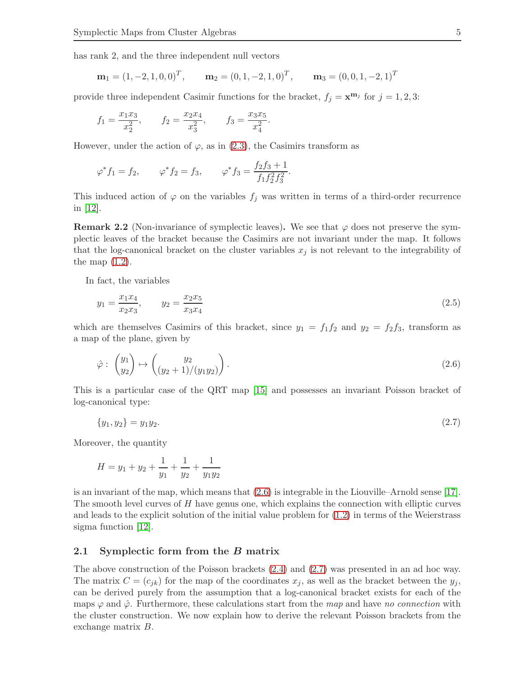has rank 2, and the three independent null vectors

<span id="page-5-1"></span>
$$
\mathbf{m}_1 = (1, -2, 1, 0, 0)^T
$$
,  $\mathbf{m}_2 = (0, 1, -2, 1, 0)^T$ ,  $\mathbf{m}_3 = (0, 0, 1, -2, 1)^T$ 

provide three independent Casimir functions for the bracket,  $f_j = \mathbf{x}^{\mathbf{m}_j}$  for  $j = 1, 2, 3$ :

$$
f_1 = \frac{x_1 x_3}{x_2^2}
$$
,  $f_2 = \frac{x_2 x_4}{x_3^2}$ ,  $f_3 = \frac{x_3 x_5}{x_4^2}$ .

However, under the action of  $\varphi$ , as in [\(2.3\)](#page-3-2), the Casimirs transform as

<span id="page-5-3"></span><span id="page-5-2"></span>
$$
\varphi^* f_1 = f_2,
$$
  $\varphi^* f_2 = f_3,$   $\varphi^* f_3 = \frac{f_2 f_3 + 1}{f_1 f_2^2 f_3^2}.$ 

This induced action of  $\varphi$  on the variables  $f_j$  was written in terms of a third-order recurrence in [\[12\]](#page-11-7).

**Remark 2.2** (Non-invariance of symplectic leaves). We see that  $\varphi$  does not preserve the symplectic leaves of the bracket because the Casimirs are not invariant under the map. It follows that the log-canonical bracket on the cluster variables  $x_j$  is not relevant to the integrability of the map  $(1.2)$ .

In fact, the variables

$$
y_1 = \frac{x_1 x_4}{x_2 x_3}, \qquad y_2 = \frac{x_2 x_5}{x_3 x_4} \tag{2.5}
$$

which are themselves Casimirs of this bracket, since  $y_1 = f_1 f_2$  and  $y_2 = f_2 f_3$ , transform as a map of the plane, given by

$$
\hat{\varphi} : \begin{pmatrix} y_1 \\ y_2 \end{pmatrix} \mapsto \begin{pmatrix} y_2 \\ (y_2 + 1)/(y_1 y_2) \end{pmatrix} . \tag{2.6}
$$

<span id="page-5-0"></span>This is a particular case of the QRT map [\[15\]](#page-11-5) and possesses an invariant Poisson bracket of log-canonical type:

$$
\{y_1, y_2\} = y_1 y_2. \tag{2.7}
$$

Moreover, the quantity

$$
H = y_1 + y_2 + \frac{1}{y_1} + \frac{1}{y_2} + \frac{1}{y_1 y_2}
$$

is an invariant of the map, which means that  $(2.6)$  is integrable in the Liouville–Arnold sense [\[17\]](#page-11-8). The smooth level curves of  $H$  have genus one, which explains the connection with elliptic curves and leads to the explicit solution of the initial value problem for [\(1.2\)](#page-1-0) in terms of the Weierstrass sigma function [\[12\]](#page-11-7).

#### 2.1 Symplectic form from the B matrix

The above construction of the Poisson brackets [\(2.4\)](#page-3-3) and [\(2.7\)](#page-4-1) was presented in an ad hoc way. The matrix  $C = (c_{ik})$  for the map of the coordinates  $x_j$ , as well as the bracket between the  $y_j$ , can be derived purely from the assumption that a log-canonical bracket exists for each of the maps  $\varphi$  and  $\hat{\varphi}$ . Furthermore, these calculations start from the map and have no connection with the cluster construction. We now explain how to derive the relevant Poisson brackets from the exchange matrix B.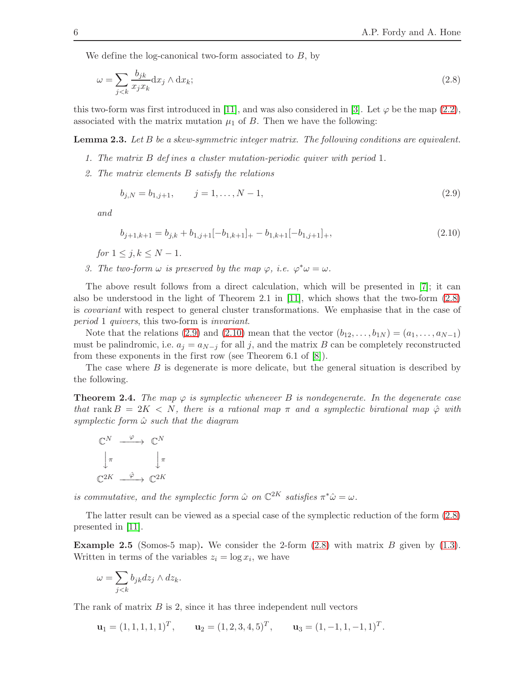We define the log-canonical two-form associated to  $B$ , by

$$
\omega = \sum_{j < k} \frac{b_{jk}}{x_j x_k} \mathrm{d}x_j \wedge \mathrm{d}x_k; \tag{2.8}
$$

this two-form was first introduced in [\[11\]](#page-11-9), and was also considered in [\[3\]](#page-11-10). Let  $\varphi$  be the map [\(2.2\)](#page-3-4), associated with the matrix mutation  $\mu_1$  of B. Then we have the following:

**Lemma 2.3.** Let B be a skew-symmetric integer matrix. The following conditions are equivalent.

- 1. The matrix B def ines a cluster mutation-periodic quiver with period 1.
- 2. The matrix elements B satisfy the relations

$$
b_{j,N} = b_{1,j+1}, \qquad j = 1, \dots, N-1,
$$
\n<sup>(2.9)</sup>

and

<span id="page-6-1"></span><span id="page-6-0"></span>
$$
b_{j+1,k+1} = b_{j,k} + b_{1,j+1}[-b_{1,k+1}] + b_{1,k+1}[-b_{1,j+1}]_+,
$$
\n(2.10)

for  $1 \leq j, k \leq N-1$ .

3. The two-form  $\omega$  is preserved by the map  $\varphi$ , i.e.  $\varphi^* \omega = \omega$ .

The above result follows from a direct calculation, which will be presented in [\[7\]](#page-11-0); it can also be understood in the light of Theorem 2.1 in [\[11\]](#page-11-9), which shows that the two-form  $(2.8)$ is covariant with respect to general cluster transformations. We emphasise that in the case of period 1 quivers, this two-form is invariant.

Note that the relations [\(2.9\)](#page-5-2) and [\(2.10\)](#page-5-3) mean that the vector  $(b_{12}, \ldots, b_{1N}) = (a_1, \ldots, a_{N-1})$ must be palindromic, i.e.  $a_j = a_{N-j}$  for all j, and the matrix B can be completely reconstructed from these exponents in the first row (see Theorem 6.1 of [\[8\]](#page-11-2)).

The case where B is degenerate is more delicate, but the general situation is described by the following.

**Theorem 2.4.** The map  $\varphi$  is symplectic whenever B is nondegenerate. In the degenerate case that rank  $B = 2K < N$ , there is a rational map  $\pi$  and a symplectic birational map  $\hat{\varphi}$  with symplectic form  $\hat{\omega}$  such that the diagram

$$
\begin{array}{ccc}\n\mathbb{C}^N & \xrightarrow{\varphi} & \mathbb{C}^N \\
\downarrow^{\pi} & & \downarrow^{\pi} \\
\mathbb{C}^{2K} & \xrightarrow{\hat{\varphi}} & \mathbb{C}^{2K}\n\end{array}
$$

is commutative, and the symplectic form  $\hat{\omega}$  on  $\mathbb{C}^{2K}$  satisfies  $\pi^*\hat{\omega} = \omega$ .

The latter result can be viewed as a special case of the symplectic reduction of the form [\(2.8\)](#page-5-1) presented in [\[11\]](#page-11-9).

**Example 2.5** (Somos-5 map). We consider the 2-form  $(2.8)$  with matrix B given by  $(1.3)$ . Written in terms of the variables  $z_i = \log x_i$ , we have

$$
\omega = \sum_{j < k} b_{jk} dz_j \wedge dz_k.
$$

The rank of matrix  $B$  is 2, since it has three independent null vectors

$$
\mathbf{u}_1 = (1, 1, 1, 1, 1)^T
$$
,  $\mathbf{u}_2 = (1, 2, 3, 4, 5)^T$ ,  $\mathbf{u}_3 = (1, -1, 1, -1, 1)^T$ .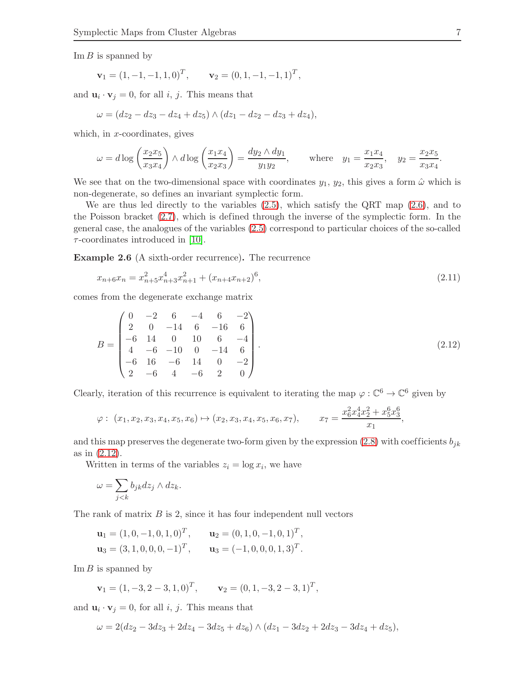$\text{Im } B$  is spanned by

$$
\mathbf{v}_1 = (1, -1, -1, 1, 0)^T
$$
,  $\mathbf{v}_2 = (0, 1, -1, -1, 1)^T$ ,

and  $\mathbf{u}_i \cdot \mathbf{v}_j = 0$ , for all *i*, *j*. This means that

$$
\omega = (dz_2 - dz_3 - dz_4 + dz_5) \wedge (dz_1 - dz_2 - dz_3 + dz_4),
$$

which, in x-coordinates, gives

<span id="page-7-0"></span>
$$
\omega = d \log \left( \frac{x_2 x_5}{x_3 x_4} \right) \wedge d \log \left( \frac{x_1 x_4}{x_2 x_3} \right) = \frac{dy_2 \wedge dy_1}{y_1 y_2}, \quad \text{where} \quad y_1 = \frac{x_1 x_4}{x_2 x_3}, \quad y_2 = \frac{x_2 x_5}{x_3 x_4}.
$$

We see that on the two-dimensional space with coordinates  $y_1, y_2$ , this gives a form  $\hat{\omega}$  which is non-degenerate, so defines an invariant symplectic form.

We are thus led directly to the variables [\(2.5\)](#page-4-2), which satisfy the QRT map [\(2.6\)](#page-4-0), and to the Poisson bracket [\(2.7\)](#page-4-1), which is defined through the inverse of the symplectic form. In the general case, the analogues of the variables [\(2.5\)](#page-4-2) correspond to particular choices of the so-called  $\tau$ -coordinates introduced in [\[10\]](#page-11-6).

Example 2.6 (A sixth-order recurrence). The recurrence

$$
x_{n+6}x_n = x_{n+5}^2 x_{n+3}^4 x_{n+1}^2 + (x_{n+4}x_{n+2})^6,
$$
\n(2.11)

comes from the degenerate exchange matrix

$$
B = \begin{pmatrix} 0 & -2 & 6 & -4 & 6 & -2 \\ 2 & 0 & -14 & 6 & -16 & 6 \\ -6 & 14 & 0 & 10 & 6 & -4 \\ 4 & -6 & -10 & 0 & -14 & 6 \\ -6 & 16 & -6 & 14 & 0 & -2 \\ 2 & -6 & 4 & -6 & 2 & 0 \end{pmatrix}.
$$
 (2.12)

Clearly, iteration of this recurrence is equivalent to iterating the map  $\varphi : \mathbb{C}^6 \to \mathbb{C}^6$  given by

$$
\varphi: (x_1, x_2, x_3, x_4, x_5, x_6) \mapsto (x_2, x_3, x_4, x_5, x_6, x_7), \qquad x_7 = \frac{x_6^2 x_4^4 x_2^2 + x_5^6 x_3^6}{x_1},
$$

and this map preserves the degenerate two-form given by the expression [\(2.8\)](#page-5-1) with coefficients  $b_{ik}$ as in [\(2.12\)](#page-6-0).

Written in terms of the variables  $z_i = \log x_i$ , we have

$$
\omega = \sum_{j < k} b_{jk} dz_j \wedge dz_k.
$$

The rank of matrix  $B$  is 2, since it has four independent null vectors

$$
\mathbf{u}_1 = (1, 0, -1, 0, 1, 0)^T, \qquad \mathbf{u}_2 = (0, 1, 0, -1, 0, 1)^T, \n\mathbf{u}_3 = (3, 1, 0, 0, 0, -1)^T, \qquad \mathbf{u}_3 = (-1, 0, 0, 0, 1, 3)^T.
$$

 $\text{Im } B$  is spanned by

$$
\mathbf{v}_1 = (1, -3, 2, -3, 1, 0)^T
$$
,  $\mathbf{v}_2 = (0, 1, -3, 2, -3, 1)^T$ ,

and  $\mathbf{u}_i \cdot \mathbf{v}_j = 0$ , for all *i*, *j*. This means that

$$
\omega = 2(dz_2 - 3dz_3 + 2dz_4 - 3dz_5 + dz_6) \wedge (dz_1 - 3dz_2 + 2dz_3 - 3dz_4 + dz_5),
$$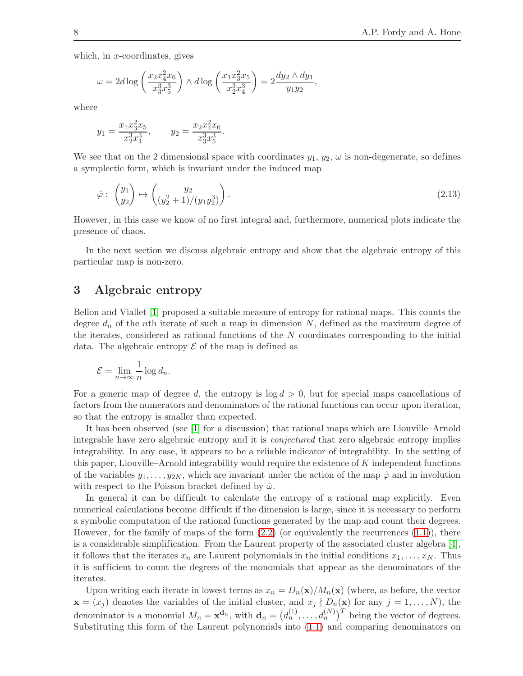which, in  $x$ -coordinates, gives

<span id="page-8-0"></span>
$$
\omega = 2d \log \left( \frac{x_2 x_4^2 x_6}{x_3^3 x_5^3} \right) \wedge d \log \left( \frac{x_1 x_3^2 x_5}{x_2^3 x_4^3} \right) = 2 \frac{dy_2 \wedge dy_1}{y_1 y_2},
$$

where

$$
y_1 = \frac{x_1 x_3^2 x_5}{x_2^3 x_4^3},
$$
  $y_2 = \frac{x_2 x_4^2 x_6}{x_3^3 x_5^3}.$ 

We see that on the 2 dimensional space with coordinates  $y_1, y_2, \omega$  is non-degenerate, so defines a symplectic form, which is invariant under the induced map

<span id="page-8-2"></span>
$$
\hat{\varphi} : \begin{pmatrix} y_1 \\ y_2 \end{pmatrix} \mapsto \begin{pmatrix} y_2 \\ (y_2^2 + 1)/(y_1 y_2^3) \end{pmatrix} . \tag{2.13}
$$

However, in this case we know of no first integral and, furthermore, numerical plots indicate the presence of chaos.

In the next section we discuss algebraic entropy and show that the algebraic entropy of this particular map is non-zero.

## 3 Algebraic entropy

Bellon and Viallet [\[1\]](#page-10-1) proposed a suitable measure of entropy for rational maps. This counts the degree  $d_n$  of the nth iterate of such a map in dimension N, defined as the maximum degree of the iterates, considered as rational functions of the  $N$  coordinates corresponding to the initial data. The algebraic entropy  $\mathcal E$  of the map is defined as

<span id="page-8-3"></span><span id="page-8-1"></span>
$$
\mathcal{E} = \lim_{n \to \infty} \frac{1}{n} \log d_n.
$$

For a generic map of degree d, the entropy is  $\log d > 0$ , but for special maps cancellations of factors from the numerators and denominators of the rational functions can occur upon iteration, so that the entropy is smaller than expected.

It has been observed (see [\[1\]](#page-10-1) for a discussion) that rational maps which are Liouville–Arnold integrable have zero algebraic entropy and it is conjectured that zero algebraic entropy implies integrability. In any case, it appears to be a reliable indicator of integrability. In the setting of this paper, Liouville–Arnold integrability would require the existence of K independent functions of the variables  $y_1, \ldots, y_{2K}$ , which are invariant under the action of the map  $\hat{\varphi}$  and in involution with respect to the Poisson bracket defined by  $\hat{\omega}$ .

In general it can be difficult to calculate the entropy of a rational map explicitly. Even numerical calculations become difficult if the dimension is large, since it is necessary to perform a symbolic computation of the rational functions generated by the map and count their degrees. However, for the family of maps of the form  $(2.2)$  (or equivalently the recurrences  $(1.1)$ ), there is a considerable simplification. From the Laurent property of the associated cluster algebra [\[4\]](#page-11-1), it follows that the iterates  $x_n$  are Laurent polynomials in the initial conditions  $x_1, \ldots, x_N$ . Thus it is suf ficient to count the degrees of the monomials that appear as the denominators of the iterates.

Upon writing each iterate in lowest terms as  $x_n = D_n(\mathbf{x})/M_n(\mathbf{x})$  (where, as before, the vector  $\mathbf{x} = (x_j)$  denotes the variables of the initial cluster, and  $x_j \nmid D_n(\mathbf{x})$  for any  $j = 1, ..., N$ , the denominator is a monomial  $M_n = \mathbf{x}^{d_n}$ , with  $\mathbf{d}_n = (d_n^{(1)}, \dots, d_n^{(N)})^T$  being the vector of degrees. Substituting this form of the Laurent polynomials into [\(1.1\)](#page-1-1) and comparing denominators on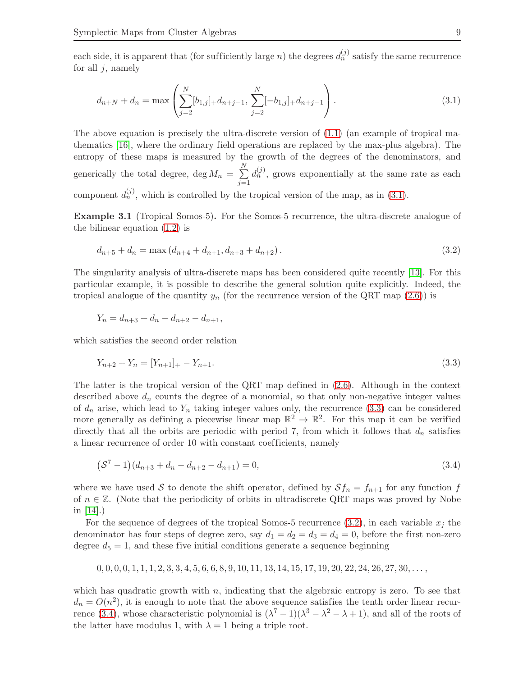each side, it is apparent that (for sufficiently large *n*) the degrees  $d_n^{(j)}$  satisfy the same recurrence for all  $j$ , namely

<span id="page-9-0"></span>
$$
d_{n+N} + d_n = \max\left(\sum_{j=2}^N [b_{1,j}]_+ d_{n+j-1}, \sum_{j=2}^N [-b_{1,j}]_+ d_{n+j-1}\right). \tag{3.1}
$$

The above equation is precisely the ultra-discrete version of  $(1.1)$  (an example of tropical mathematics [\[16\]](#page-11-11), where the ordinary field operations are replaced by the max-plus algebra). The entropy of these maps is measured by the growth of the degrees of the denominators, and generically the total degree, deg  $M_n = \sum$ N  $j=1$  $d_n^{(j)}$ , grows exponentially at the same rate as each component  $d_n^{(j)}$ , which is controlled by the tropical version of the map, as in [\(3.1\)](#page-8-0).

Example 3.1 (Tropical Somos-5). For the Somos-5 recurrence, the ultra-discrete analogue of the bilinear equation [\(1.2\)](#page-1-0) is

$$
d_{n+5} + d_n = \max\left(d_{n+4} + d_{n+1}, d_{n+3} + d_{n+2}\right). \tag{3.2}
$$

The singularity analysis of ultra-discrete maps has been considered quite recently [\[13\]](#page-11-12). For this particular example, it is possible to describe the general solution quite explicitly. Indeed, the tropical analogue of the quantity  $y_n$  (for the recurrence version of the QRT map [\(2.6\)](#page-4-0)) is

$$
Y_n = d_{n+3} + d_n - d_{n+2} - d_{n+1},
$$

which satisfies the second order relation

$$
Y_{n+2} + Y_n = [Y_{n+1}]_+ - Y_{n+1}.\tag{3.3}
$$

The latter is the tropical version of the QRT map defined in [\(2.6\)](#page-4-0). Although in the context described above  $d_n$  counts the degree of a monomial, so that only non-negative integer values of  $d_n$  arise, which lead to  $Y_n$  taking integer values only, the recurrence [\(3.3\)](#page-8-1) can be considered more generally as defining a piecewise linear map  $\mathbb{R}^2 \to \mathbb{R}^2$ . For this map it can be verified directly that all the orbits are periodic with period 7, from which it follows that  $d_n$  satisfies a linear recurrence of order 10 with constant coefficients, namely

$$
(\mathcal{S}^7 - 1)(d_{n+3} + d_n - d_{n+2} - d_{n+1}) = 0,
$$
\n(3.4)

where we have used S to denote the shift operator, defined by  $Sf_n = f_{n+1}$  for any function f of  $n \in \mathbb{Z}$ . (Note that the periodicity of orbits in ultradiscrete QRT maps was proved by Nobe in [\[14\]](#page-11-13).)

For the sequence of degrees of the tropical Somos-5 recurrence [\(3.2\)](#page-8-2), in each variable  $x_i$  the denominator has four steps of degree zero, say  $d_1 = d_2 = d_3 = d_4 = 0$ , before the first non-zero degree  $d_5 = 1$ , and these five initial conditions generate a sequence beginning

<span id="page-9-1"></span>
$$
0,0,0,0,1,1,1,2,3,3,4,5,6,6,8,9,10,11,13,14,15,17,19,20,22,24,26,27,30,\ldots,
$$

which has quadratic growth with  $n$ , indicating that the algebraic entropy is zero. To see that  $d_n = O(n^2)$ , it is enough to note that the above sequence satisfies the tenth order linear recur-rence [\(3.4\)](#page-8-3), whose characteristic polynomial is  $(\lambda^7 - 1)(\lambda^3 - \lambda^2 - \lambda + 1)$ , and all of the roots of the latter have modulus 1, with  $\lambda = 1$  being a triple root.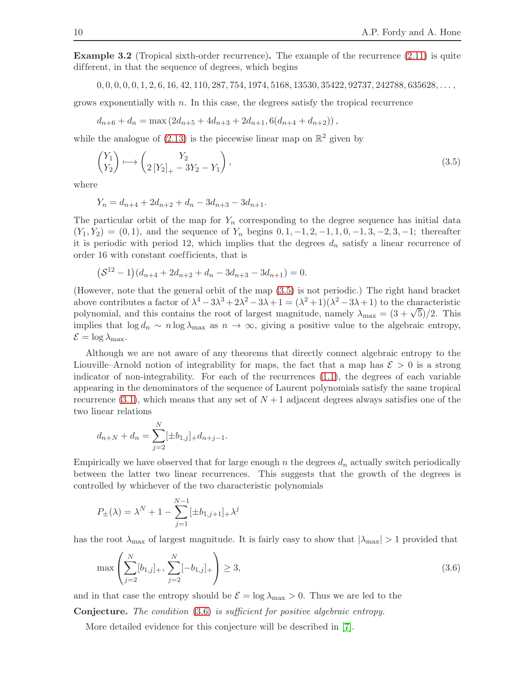Example 3.2 (Tropical sixth-order recurrence). The example of the recurrence [\(2.11\)](#page-6-1) is quite different, in that the sequence of degrees, which begins

 $0, 0, 0, 0, 0, 1, 2, 6, 16, 42, 110, 287, 754, 1974, 5168, 13530, 35422, 92737, 242788, 635628, \ldots$ 

grows exponentially with  $n$ . In this case, the degrees satisfy the tropical recurrence

$$
d_{n+6} + d_n = \max\left(2d_{n+5} + 4d_{n+3} + 2d_{n+1}, 6(d_{n+4} + d_{n+2})\right),
$$

while the analogue of  $(2.13)$  is the piecewise linear map on  $\mathbb{R}^2$  given by

$$
\begin{pmatrix} Y_1 \\ Y_2 \end{pmatrix} \longmapsto \begin{pmatrix} Y_2 \\ 2\left[Y_2\right]_+ - 3Y_2 - Y_1 \end{pmatrix},\tag{3.5}
$$

where

$$
Y_n = d_{n+4} + 2d_{n+2} + d_n - 3d_{n+3} - 3d_{n+1}.
$$

The particular orbit of the map for  $Y_n$  corresponding to the degree sequence has initial data  $(Y_1, Y_2) = (0, 1)$ , and the sequence of  $Y_n$  begins  $0, 1, -1, 2, -1, 1, 0, -1, 3, -2, 3, -1$ ; thereafter it is periodic with period 12, which implies that the degrees  $d_n$  satisfy a linear recurrence of order 16 with constant coef ficients, that is

$$
(S^{12} - 1)(d_{n+4} + 2d_{n+2} + d_n - 3d_{n+3} - 3d_{n+1}) = 0.
$$

(However, note that the general orbit of the map [\(3.5\)](#page-9-0) is not periodic.) The right hand bracket above contributes a factor of  $\lambda^4 - 3\lambda^3 + 2\lambda^2 - 3\lambda + 1 = (\lambda^2 + 1)(\lambda^2 - 3\lambda + 1)$  to the characteristic polynomial, and this contains the root of largest magnitude, namely  $\lambda_{\text{max}} = (3 + \sqrt{5})/2$ . This implies that  $\log d_n \sim n \log \lambda_{\text{max}}$  as  $n \to \infty$ , giving a positive value to the algebraic entropy,  $\mathcal{E} = \log \lambda_{\max}$ .

Although we are not aware of any theorems that directly connect algebraic entropy to the Liouville–Arnold notion of integrability for maps, the fact that a map has  $\mathcal{E} > 0$  is a strong indicator of non-integrability. For each of the recurrences [\(1.1\)](#page-1-1), the degrees of each variable appearing in the denominators of the sequence of Laurent polynomials satisfy the same tropical recurrence  $(3.1)$ , which means that any set of  $N+1$  adjacent degrees always satisfies one of the two linear relations

$$
d_{n+N} + d_n = \sum_{j=2}^{N} [\pm b_{1,j}]_+ d_{n+j-1}.
$$

Empirically we have observed that for large enough n the degrees  $d_n$  actually switch periodically between the latter two linear recurrences. This suggests that the growth of the degrees is controlled by whichever of the two characteristic polynomials

$$
P_{\pm}(\lambda) = \lambda^{N} + 1 - \sum_{j=1}^{N-1} [\pm b_{1,j+1}]_{+} \lambda^{j}
$$

has the root  $\lambda_{\text{max}}$  of largest magnitude. It is fairly easy to show that  $|\lambda_{\text{max}}| > 1$  provided that

$$
\max\left(\sum_{j=2}^{N} [b_{1,j}]_+, \sum_{j=2}^{N} [-b_{1,j}]_+\right) \ge 3,
$$
\n(3.6)

<span id="page-10-1"></span>and in that case the entropy should be  $\mathcal{E} = \log \lambda_{\text{max}} > 0$ . Thus we are led to the

<span id="page-10-0"></span>Conjecture. The condition [\(3.6\)](#page-9-1) is sufficient for positive algebraic entropy.

More detailed evidence for this conjecture will be described in [\[7\]](#page-11-0).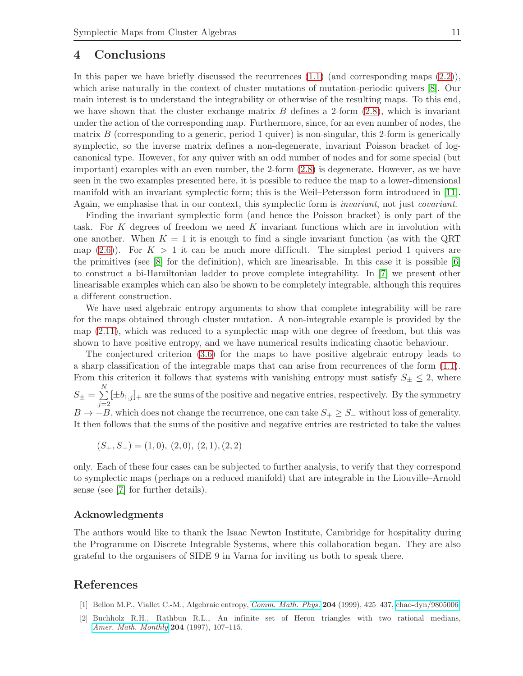#### <span id="page-11-10"></span><span id="page-11-1"></span>4 Conclusions

<span id="page-11-14"></span><span id="page-11-3"></span><span id="page-11-0"></span>In this paper we have briefly discussed the recurrences  $(1.1)$  (and corresponding maps  $(2.2)$ ), which arise naturally in the context of cluster mutations of mutation-periodic quivers [\[8\]](#page-11-2). Our main interest is to understand the integrability or otherwise of the resulting maps. To this end, we have shown that the cluster exchange matrix  $B$  defines a 2-form  $(2.8)$ , which is invariant under the action of the corresponding map. Furthermore, since, for an even number of nodes, the matrix  $B$  (corresponding to a generic, period 1 quiver) is non-singular, this 2-form is generically symplectic, so the inverse matrix defines a non-degenerate, invariant Poisson bracket of logcanonical type. However, for any quiver with an odd number of nodes and for some special (but important) examples with an even number, the 2-form [\(2.8\)](#page-5-1) is degenerate. However, as we have seen in the two examples presented here, it is possible to reduce the map to a lower-dimensional manifold with an invariant symplectic form; this is the Weil–Petersson form introduced in [\[11\]](#page-11-9). Again, we emphasise that in our context, this symplectic form is invariant, not just covariant.

<span id="page-11-9"></span><span id="page-11-6"></span><span id="page-11-4"></span><span id="page-11-2"></span>Finding the invariant symplectic form (and hence the Poisson bracket) is only part of the task. For K degrees of freedom we need K invariant functions which are in involution with one another. When  $K = 1$  it is enough to find a single invariant function (as with the QRT map  $(2.6)$ ). For  $K > 1$  it can be much more difficult. The simplest period 1 quivers are the primitives (see  $[8]$  for the definition), which are linearisable. In this case it is possible  $[6]$ to construct a bi-Hamiltonian ladder to prove complete integrability. In [\[7\]](#page-11-0) we present other linearisable examples which can also be shown to be completely integrable, although this requires a different construction.

<span id="page-11-13"></span><span id="page-11-12"></span><span id="page-11-7"></span>We have used algebraic entropy arguments to show that complete integrability will be rare for the maps obtained through cluster mutation. A non-integrable example is provided by the map [\(2.11\)](#page-6-1), which was reduced to a symplectic map with one degree of freedom, but this was shown to have positive entropy, and we have numerical results indicating chaotic behaviour.

<span id="page-11-11"></span><span id="page-11-8"></span><span id="page-11-5"></span>The conjectured criterion [\(3.6\)](#page-9-1) for the maps to have positive algebraic entropy leads to a sharp classification of the integrable maps that can arise from recurrences of the form [\(1.1\)](#page-1-1). From this criterion it follows that systems with vanishing entropy must satisfy  $S_{\pm} \leq 2$ , where  $S_\pm = \sum$ N  $\sum_{j=2}^{\infty} [\pm b_{1,j}]_+$  are the sums of the positive and negative entries, respectively. By the symmetry  $B \to -B$ , which does not change the recurrence, one can take  $S_+ \geq S_-$  without loss of generality. It then follows that the sums of the positive and negative entries are restricted to take the values

$$
(S_+, S_-) = (1, 0), (2, 0), (2, 1), (2, 2)
$$

only. Each of these four cases can be subjected to further analysis, to verify that they correspond to symplectic maps (perhaps on a reduced manifold) that are integrable in the Liouville–Arnold sense (see [\[7\]](#page-11-0) for further details).

#### Acknowledgments

The authors would like to thank the Isaac Newton Institute, Cambridge for hospitality during the Programme on Discrete Integrable Systems, where this collaboration began. They are also grateful to the organisers of SIDE 9 in Varna for inviting us both to speak there.

#### References

- [1] Bellon M.P., Viallet C.-M., Algebraic entropy, *[Comm. Math. Phys.](http://dx.doi.org/10.1007/s002200050652)* 204 (1999), 425–437, [chao-dyn/9805006.](http://arxiv.org/abs/chao-dyn/9805006)
- [2] Buchholz R.H., Rathbun R.L., An infinite set of Heron triangles with two rational medians, *[Amer. Math. Monthly](http://dx.doi.org/10.2307/2974977)* 204 (1997), 107–115.